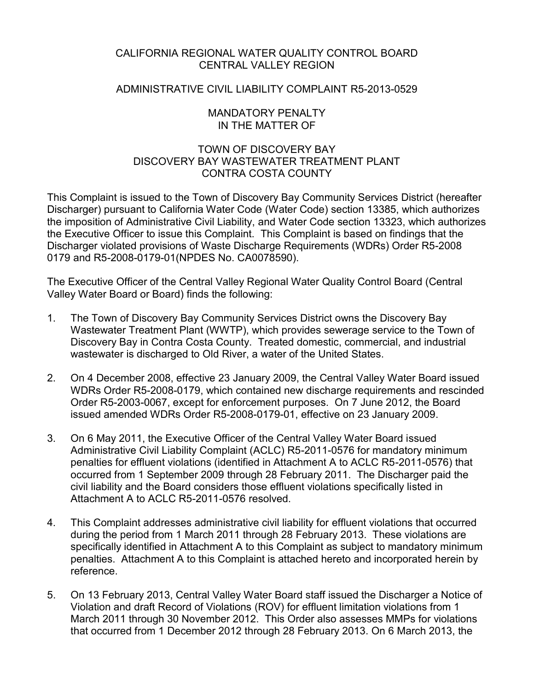# CALIFORNIA REGIONAL WATER QUALITY CONTROL BOARD CENTRAL VALLEY REGION

# ADMINISTRATIVE CIVIL LIABILITY COMPLAINT R5-2013-0529

# MANDATORY PENALTY IN THE MATTER OF

# TOWN OF DISCOVERY BAY DISCOVERY BAY WASTEWATER TREATMENT PLANT CONTRA COSTA COUNTY

This Complaint is issued to the Town of Discovery Bay Community Services District (hereafter Discharger) pursuant to California Water Code (Water Code) section 13385, which authorizes the imposition of Administrative Civil Liability, and Water Code section 13323, which authorizes the Executive Officer to issue this Complaint. This Complaint is based on findings that the Discharger violated provisions of Waste Discharge Requirements (WDRs) Order R5-2008 0179 and R5-2008-0179-01(NPDES No. CA0078590).

The Executive Officer of the Central Valley Regional Water Quality Control Board (Central Valley Water Board or Board) finds the following:

- 1. The Town of Discovery Bay Community Services District owns the Discovery Bay Wastewater Treatment Plant (WWTP), which provides sewerage service to the Town of Discovery Bay in Contra Costa County. Treated domestic, commercial, and industrial wastewater is discharged to Old River, a water of the United States.
- 2. On 4 December 2008, effective 23 January 2009, the Central Valley Water Board issued WDRs Order R5-2008-0179, which contained new discharge requirements and rescinded Order R5-2003-0067, except for enforcement purposes. On 7 June 2012, the Board issued amended WDRs Order R5-2008-0179-01, effective on 23 January 2009.
- 3. On 6 May 2011, the Executive Officer of the Central Valley Water Board issued Administrative Civil Liability Complaint (ACLC) R5-2011-0576 for mandatory minimum penalties for effluent violations (identified in Attachment A to ACLC R5-2011-0576) that occurred from 1 September 2009 through 28 February 2011. The Discharger paid the civil liability and the Board considers those effluent violations specifically listed in Attachment A to ACLC R5-2011-0576 resolved.
- 4. This Complaint addresses administrative civil liability for effluent violations that occurred during the period from 1 March 2011 through 28 February 2013. These violations are specifically identified in Attachment A to this Complaint as subject to mandatory minimum penalties. Attachment A to this Complaint is attached hereto and incorporated herein by reference.
- 5. On 13 February 2013, Central Valley Water Board staff issued the Discharger a Notice of Violation and draft Record of Violations (ROV) for effluent limitation violations from 1 March 2011 through 30 November 2012. This Order also assesses MMPs for violations that occurred from 1 December 2012 through 28 February 2013. On 6 March 2013, the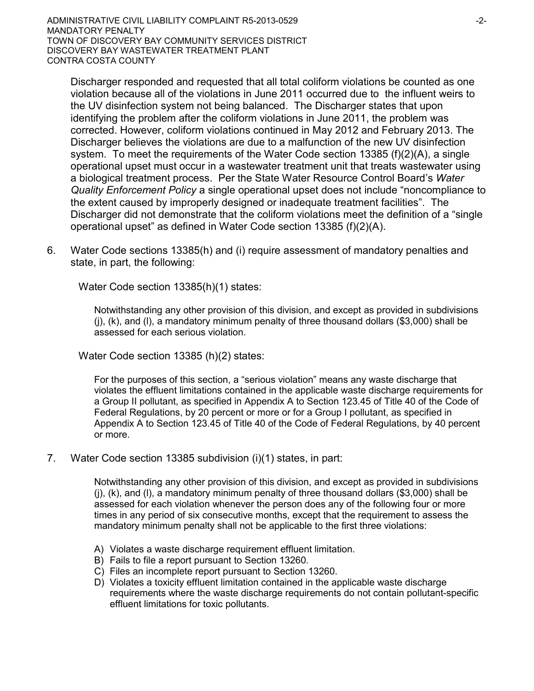Discharger responded and requested that all total coliform violations be counted as one violation because all of the violations in June 2011 occurred due to the influent weirs to the UV disinfection system not being balanced. The Discharger states that upon identifying the problem after the coliform violations in June 2011, the problem was corrected. However, coliform violations continued in May 2012 and February 2013. The Discharger believes the violations are due to a malfunction of the new UV disinfection system. To meet the requirements of the Water Code section 13385 (f)(2)(A), a single operational upset must occur in a wastewater treatment unit that treats wastewater using a biological treatment process. Per the State Water Resource Control Board's *Water Quality Enforcement Policy* a single operational upset does not include "noncompliance to the extent caused by improperly designed or inadequate treatment facilities". The Discharger did not demonstrate that the coliform violations meet the definition of a "single operational upset" as defined in Water Code section 13385 (f)(2)(A).

6. Water Code sections 13385(h) and (i) require assessment of mandatory penalties and state, in part, the following:

Water Code section 13385(h)(1) states:

Notwithstanding any other provision of this division, and except as provided in subdivisions (j), (k), and (l), a mandatory minimum penalty of three thousand dollars (\$3,000) shall be assessed for each serious violation.

Water Code section 13385 (h)(2) states:

For the purposes of this section, a "serious violation" means any waste discharge that violates the effluent limitations contained in the applicable waste discharge requirements for a Group II pollutant, as specified in Appendix A to Section 123.45 of Title 40 of the Code of Federal Regulations, by 20 percent or more or for a Group I pollutant, as specified in Appendix A to Section 123.45 of Title 40 of the Code of Federal Regulations, by 40 percent or more.

7. Water Code section 13385 subdivision (i)(1) states, in part:

Notwithstanding any other provision of this division, and except as provided in subdivisions (j), (k), and (l), a mandatory minimum penalty of three thousand dollars (\$3,000) shall be assessed for each violation whenever the person does any of the following four or more times in any period of six consecutive months, except that the requirement to assess the mandatory minimum penalty shall not be applicable to the first three violations:

- A) Violates a waste discharge requirement effluent limitation.
- B) Fails to file a report pursuant to Section 13260.
- C) Files an incomplete report pursuant to Section 13260.
- D) Violates a toxicity effluent limitation contained in the applicable waste discharge requirements where the waste discharge requirements do not contain pollutant-specific effluent limitations for toxic pollutants.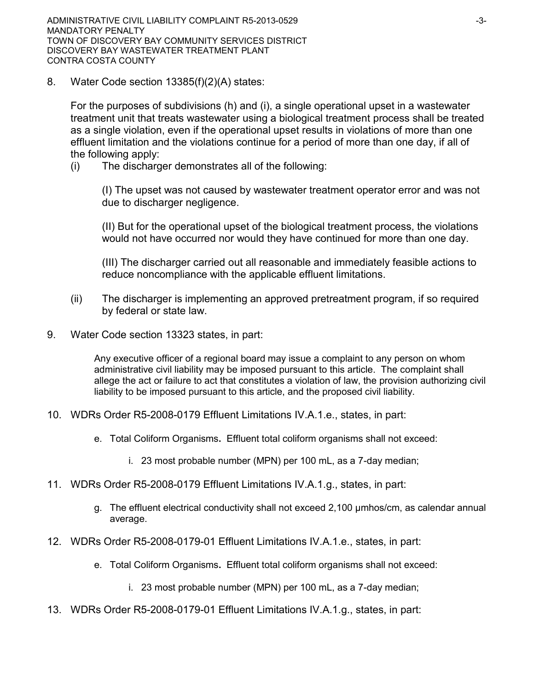8. Water Code section 13385(f)(2)(A) states:

For the purposes of subdivisions (h) and (i), a single operational upset in a wastewater treatment unit that treats wastewater using a biological treatment process shall be treated as a single violation, even if the operational upset results in violations of more than one effluent limitation and the violations continue for a period of more than one day, if all of the following apply:

(i) The discharger demonstrates all of the following:

(I) The upset was not caused by wastewater treatment operator error and was not due to discharger negligence.

(II) But for the operational upset of the biological treatment process, the violations would not have occurred nor would they have continued for more than one day.

(III) The discharger carried out all reasonable and immediately feasible actions to reduce noncompliance with the applicable effluent limitations.

- (ii) The discharger is implementing an approved pretreatment program, if so required by federal or state law.
- 9. Water Code section 13323 states, in part:

Any executive officer of a regional board may issue a complaint to any person on whom administrative civil liability may be imposed pursuant to this article. The complaint shall allege the act or failure to act that constitutes a violation of law, the provision authorizing civil liability to be imposed pursuant to this article, and the proposed civil liability.

- 10. WDRs Order R5-2008-0179 Effluent Limitations IV.A.1.e., states, in part:
	- e. Total Coliform Organisms**.** Effluent total coliform organisms shall not exceed:
		- i. 23 most probable number (MPN) per 100 mL, as a 7-day median;
- 11. WDRs Order R5-2008-0179 Effluent Limitations IV.A.1.g., states, in part:
	- g. The effluent electrical conductivity shall not exceed 2,100 µmhos/cm, as calendar annual average.
- 12. WDRs Order R5-2008-0179-01 Effluent Limitations IV.A.1.e., states, in part:
	- e. Total Coliform Organisms**.** Effluent total coliform organisms shall not exceed:
		- i. 23 most probable number (MPN) per 100 mL, as a 7-day median;
- 13. WDRs Order R5-2008-0179-01 Effluent Limitations IV.A.1.g., states, in part: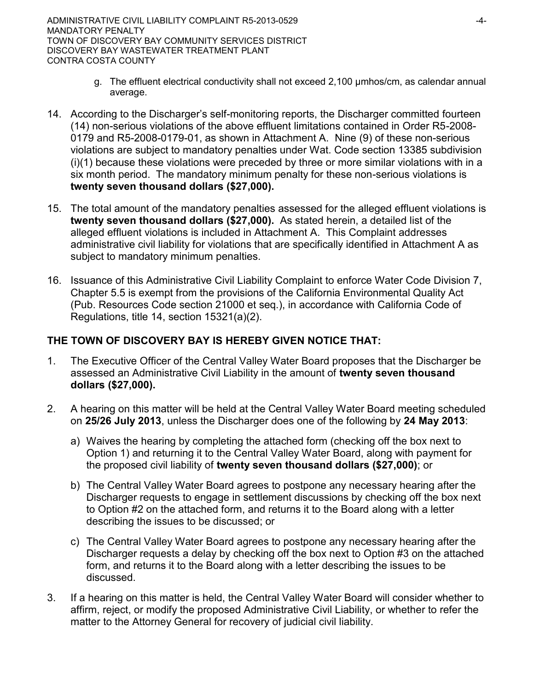- g. The effluent electrical conductivity shall not exceed 2,100 µmhos/cm, as calendar annual average.
- 14. According to the Discharger's self-monitoring reports, the Discharger committed fourteen (14) non-serious violations of the above effluent limitations contained in Order R5-2008- 0179 and R5-2008-0179-01, as shown in Attachment A. Nine (9) of these non-serious violations are subject to mandatory penalties under Wat. Code section 13385 subdivision (i)(1) because these violations were preceded by three or more similar violations with in a six month period. The mandatory minimum penalty for these non-serious violations is **twenty seven thousand dollars (\$27,000).**
- 15. The total amount of the mandatory penalties assessed for the alleged effluent violations is **twenty seven thousand dollars (\$27,000).** As stated herein, a detailed list of the alleged effluent violations is included in Attachment A. This Complaint addresses administrative civil liability for violations that are specifically identified in Attachment A as subject to mandatory minimum penalties.
- 16. Issuance of this Administrative Civil Liability Complaint to enforce Water Code Division 7, Chapter 5.5 is exempt from the provisions of the California Environmental Quality Act (Pub. Resources Code section 21000 et seq.), in accordance with California Code of Regulations, title 14, section 15321(a)(2).

# **THE TOWN OF DISCOVERY BAY IS HEREBY GIVEN NOTICE THAT:**

- 1. The Executive Officer of the Central Valley Water Board proposes that the Discharger be assessed an Administrative Civil Liability in the amount of **twenty seven thousand dollars (\$27,000).**
- 2. A hearing on this matter will be held at the Central Valley Water Board meeting scheduled on **25/26 July 2013**, unless the Discharger does one of the following by **24 May 2013**:
	- a) Waives the hearing by completing the attached form (checking off the box next to Option 1) and returning it to the Central Valley Water Board, along with payment for the proposed civil liability of **twenty seven thousand dollars (\$27,000)**; or
	- b) The Central Valley Water Board agrees to postpone any necessary hearing after the Discharger requests to engage in settlement discussions by checking off the box next to Option #2 on the attached form, and returns it to the Board along with a letter describing the issues to be discussed; or
	- c) The Central Valley Water Board agrees to postpone any necessary hearing after the Discharger requests a delay by checking off the box next to Option #3 on the attached form, and returns it to the Board along with a letter describing the issues to be discussed.
- 3. If a hearing on this matter is held, the Central Valley Water Board will consider whether to affirm, reject, or modify the proposed Administrative Civil Liability, or whether to refer the matter to the Attorney General for recovery of judicial civil liability.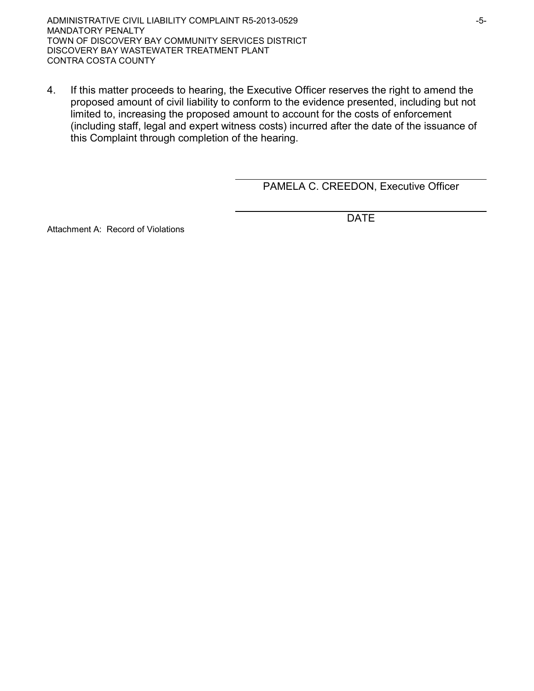ADMINISTRATIVE CIVIL LIABILITY COMPLAINT R5-2013-0529 FOR THE SERVICE OF SALE ASSESSED. MANDATORY PENALTY TOWN OF DISCOVERY BAY COMMUNITY SERVICES DISTRICT DISCOVERY BAY WASTEWATER TREATMENT PLANT CONTRA COSTA COUNTY

4. If this matter proceeds to hearing, the Executive Officer reserves the right to amend the proposed amount of civil liability to conform to the evidence presented, including but not limited to, increasing the proposed amount to account for the costs of enforcement (including staff, legal and expert witness costs) incurred after the date of the issuance of this Complaint through completion of the hearing.

PAMELA C. CREEDON, Executive Officer

DATE

Attachment A: Record of Violations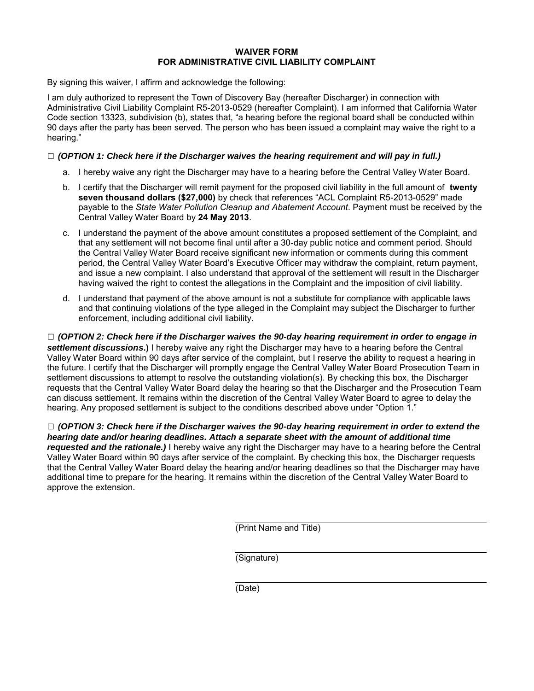#### **WAIVER FORM FOR ADMINISTRATIVE CIVIL LIABILITY COMPLAINT**

By signing this waiver, I affirm and acknowledge the following:

I am duly authorized to represent the Town of Discovery Bay (hereafter Discharger) in connection with Administrative Civil Liability Complaint R5-2013-0529 (hereafter Complaint). I am informed that California Water Code section 13323, subdivision (b), states that, "a hearing before the regional board shall be conducted within 90 days after the party has been served. The person who has been issued a complaint may waive the right to a hearing."

#### **□** *(OPTION 1: Check here if the Discharger waives the hearing requirement and will pay in full.)*

- a. I hereby waive any right the Discharger may have to a hearing before the Central Valley Water Board.
- b. I certify that the Discharger will remit payment for the proposed civil liability in the full amount of **twenty seven thousand dollars (\$27,000)** by check that references "ACL Complaint R5-2013-0529" made payable to the *State Water Pollution Cleanup and Abatement Account*. Payment must be received by the Central Valley Water Board by **24 May 2013**.
- c. I understand the payment of the above amount constitutes a proposed settlement of the Complaint, and that any settlement will not become final until after a 30-day public notice and comment period. Should the Central Valley Water Board receive significant new information or comments during this comment period, the Central Valley Water Board's Executive Officer may withdraw the complaint, return payment, and issue a new complaint. I also understand that approval of the settlement will result in the Discharger having waived the right to contest the allegations in the Complaint and the imposition of civil liability.
- d. I understand that payment of the above amount is not a substitute for compliance with applicable laws and that continuing violations of the type alleged in the Complaint may subject the Discharger to further enforcement, including additional civil liability.

**□** *(OPTION 2: Check here if the Discharger waives the 90-day hearing requirement in order to engage in settlement discussions***.)** I hereby waive any right the Discharger may have to a hearing before the Central Valley Water Board within 90 days after service of the complaint, but I reserve the ability to request a hearing in the future. I certify that the Discharger will promptly engage the Central Valley Water Board Prosecution Team in settlement discussions to attempt to resolve the outstanding violation(s). By checking this box, the Discharger requests that the Central Valley Water Board delay the hearing so that the Discharger and the Prosecution Team can discuss settlement. It remains within the discretion of the Central Valley Water Board to agree to delay the hearing. Any proposed settlement is subject to the conditions described above under "Option 1."

**□** *(OPTION 3: Check here if the Discharger waives the 90-day hearing requirement in order to extend the hearing date and/or hearing deadlines. Attach a separate sheet with the amount of additional time requested and the rationale.)* I hereby waive any right the Discharger may have to a hearing before the Central Valley Water Board within 90 days after service of the complaint. By checking this box, the Discharger requests that the Central Valley Water Board delay the hearing and/or hearing deadlines so that the Discharger may have additional time to prepare for the hearing. It remains within the discretion of the Central Valley Water Board to approve the extension.

(Print Name and Title)

(Signature)

(Date)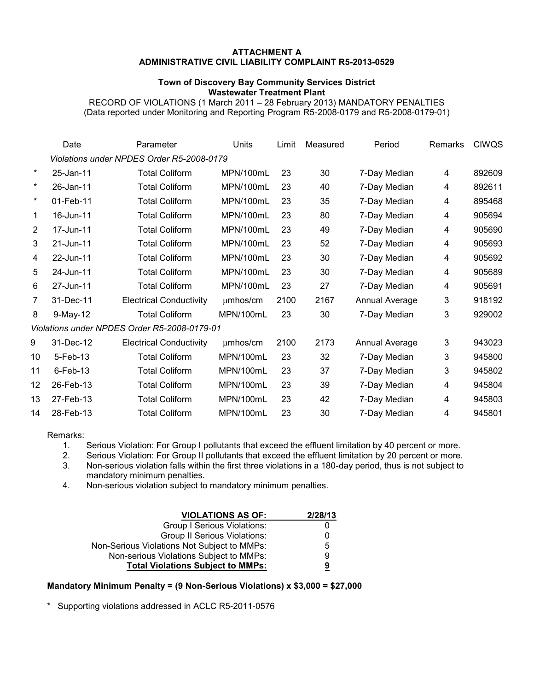#### **ATTACHMENT A ADMINISTRATIVE CIVIL LIABILITY COMPLAINT R5-2013-0529**

#### **Town of Discovery Bay Community Services District Wastewater Treatment Plant**

RECORD OF VIOLATIONS (1 March 2011 – 28 February 2013) MANDATORY PENALTIES (Data reported under Monitoring and Reporting Program R5-2008-0179 and R5-2008-0179-01)

|                                              | Date                                      | Parameter                      | Units       | Limit | Measured | Period         | Remarks        | <b>CIWQS</b> |  |
|----------------------------------------------|-------------------------------------------|--------------------------------|-------------|-------|----------|----------------|----------------|--------------|--|
|                                              | Violations under NPDES Order R5-2008-0179 |                                |             |       |          |                |                |              |  |
| $\ast$                                       | 25-Jan-11                                 | <b>Total Coliform</b>          | MPN/100mL   | 23    | 30       | 7-Day Median   | 4              | 892609       |  |
| $\star$                                      | 26-Jan-11                                 | <b>Total Coliform</b>          | MPN/100mL   | 23    | 40       | 7-Day Median   | 4              | 892611       |  |
| $\star$                                      | 01-Feb-11                                 | <b>Total Coliform</b>          | MPN/100mL   | 23    | 35       | 7-Day Median   | 4              | 895468       |  |
| 1                                            | 16-Jun-11                                 | <b>Total Coliform</b>          | MPN/100mL   | 23    | 80       | 7-Day Median   | 4              | 905694       |  |
| $\overline{2}$                               | 17-Jun-11                                 | <b>Total Coliform</b>          | MPN/100mL   | 23    | 49       | 7-Day Median   | 4              | 905690       |  |
| 3                                            | 21-Jun-11                                 | <b>Total Coliform</b>          | MPN/100mL   | 23    | 52       | 7-Day Median   | 4              | 905693       |  |
| 4                                            | 22-Jun-11                                 | <b>Total Coliform</b>          | MPN/100mL   | 23    | 30       | 7-Day Median   | 4              | 905692       |  |
| 5                                            | 24-Jun-11                                 | <b>Total Coliform</b>          | MPN/100mL   | 23    | 30       | 7-Day Median   | 4              | 905689       |  |
| 6                                            | 27-Jun-11                                 | <b>Total Coliform</b>          | MPN/100mL   | 23    | 27       | 7-Day Median   | 4              | 905691       |  |
| 7                                            | 31-Dec-11                                 | <b>Electrical Conductivity</b> | µmhos/cm    | 2100  | 2167     | Annual Average | 3              | 918192       |  |
| 8                                            | 9-May-12                                  | <b>Total Coliform</b>          | MPN/100mL   | 23    | 30       | 7-Day Median   | 3              | 929002       |  |
| Violations under NPDES Order R5-2008-0179-01 |                                           |                                |             |       |          |                |                |              |  |
| 9                                            | 31-Dec-12                                 | <b>Electrical Conductivity</b> | $µm$ hos/cm | 2100  | 2173     | Annual Average | 3              | 943023       |  |
| 10                                           | 5-Feb-13                                  | <b>Total Coliform</b>          | MPN/100mL   | 23    | 32       | 7-Day Median   | 3              | 945800       |  |
| 11                                           | $6$ -Feb-13                               | <b>Total Coliform</b>          | MPN/100mL   | 23    | 37       | 7-Day Median   | 3              | 945802       |  |
| 12                                           | 26-Feb-13                                 | <b>Total Coliform</b>          | MPN/100mL   | 23    | 39       | 7-Day Median   | 4              | 945804       |  |
| 13                                           | 27-Feb-13                                 | <b>Total Coliform</b>          | MPN/100mL   | 23    | 42       | 7-Day Median   | $\overline{4}$ | 945803       |  |
| 14                                           | 28-Feb-13                                 | <b>Total Coliform</b>          | MPN/100mL   | 23    | 30       | 7-Day Median   | 4              | 945801       |  |
|                                              |                                           |                                |             |       |          |                |                |              |  |

Remarks:<br>1.

1. Serious Violation: For Group I pollutants that exceed the effluent limitation by 40 percent or more.<br>2. Serious Violation: For Group II pollutants that exceed the effluent limitation by 20 percent or more.

Serious Violation: For Group II pollutants that exceed the effluent limitation by 20 percent or more.

3. Non-serious violation falls within the first three violations in a 180-day period, thus is not subject to mandatory minimum penalties.

4. Non-serious violation subject to mandatory minimum penalties.

| <b>VIOLATIONS AS OF:</b>                    | 2/28/13 |
|---------------------------------------------|---------|
| Group I Serious Violations:                 |         |
| <b>Group II Serious Violations:</b>         | 0       |
| Non-Serious Violations Not Subject to MMPs: | 5       |
| Non-serious Violations Subject to MMPs:     | 9       |
| <b>Total Violations Subject to MMPs:</b>    | 9       |

#### **Mandatory Minimum Penalty = (9 Non-Serious Violations) x \$3,000 = \$27,000**

Supporting violations addressed in ACLC R5-2011-0576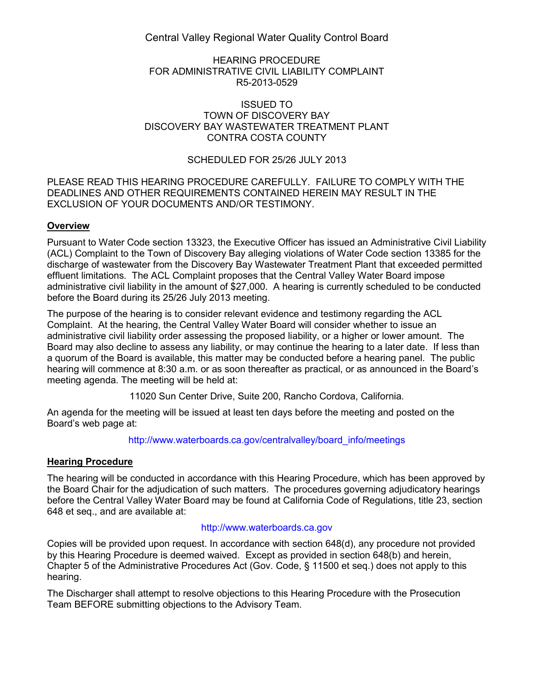Central Valley Regional Water Quality Control Board

#### HEARING PROCEDURE FOR ADMINISTRATIVE CIVIL LIABILITY COMPLAINT R5-2013-0529

#### ISSUED TO TOWN OF DISCOVERY BAY DISCOVERY BAY WASTEWATER TREATMENT PLANT CONTRA COSTA COUNTY

# SCHEDULED FOR 25/26 JULY 2013

### PLEASE READ THIS HEARING PROCEDURE CAREFULLY. FAILURE TO COMPLY WITH THE DEADLINES AND OTHER REQUIREMENTS CONTAINED HEREIN MAY RESULT IN THE EXCLUSION OF YOUR DOCUMENTS AND/OR TESTIMONY.

# **Overview**

Pursuant to Water Code section 13323, the Executive Officer has issued an Administrative Civil Liability (ACL) Complaint to the Town of Discovery Bay alleging violations of Water Code section 13385 for the discharge of wastewater from the Discovery Bay Wastewater Treatment Plant that exceeded permitted effluent limitations. The ACL Complaint proposes that the Central Valley Water Board impose administrative civil liability in the amount of \$27,000. A hearing is currently scheduled to be conducted before the Board during its 25/26 July 2013 meeting.

The purpose of the hearing is to consider relevant evidence and testimony regarding the ACL Complaint. At the hearing, the Central Valley Water Board will consider whether to issue an administrative civil liability order assessing the proposed liability, or a higher or lower amount. The Board may also decline to assess any liability, or may continue the hearing to a later date. If less than a quorum of the Board is available, this matter may be conducted before a hearing panel. The public hearing will commence at 8:30 a.m. or as soon thereafter as practical, or as announced in the Board's meeting agenda. The meeting will be held at:

11020 Sun Center Drive, Suite 200, Rancho Cordova, California.

An agenda for the meeting will be issued at least ten days before the meeting and posted on the Board's web page at:

[http://www.waterboards.ca.gov/centralvalley/board\\_info/meetings](http://www.waterboards.ca.gov/centralvalley/board_info/meetings)

### **Hearing Procedure**

The hearing will be conducted in accordance with this Hearing Procedure, which has been approved by the Board Chair for the adjudication of such matters. The procedures governing adjudicatory hearings before the Central Valley Water Board may be found at California Code of Regulations, title 23, section 648 et seq., and are available at:

### [http://www.waterboards.ca.gov](http://www.waterboards.ca.gov/)

Copies will be provided upon request. In accordance with section 648(d), any procedure not provided by this Hearing Procedure is deemed waived. Except as provided in section 648(b) and herein, Chapter 5 of the Administrative Procedures Act (Gov. Code, § 11500 et seq.) does not apply to this hearing.

The Discharger shall attempt to resolve objections to this Hearing Procedure with the Prosecution Team BEFORE submitting objections to the Advisory Team.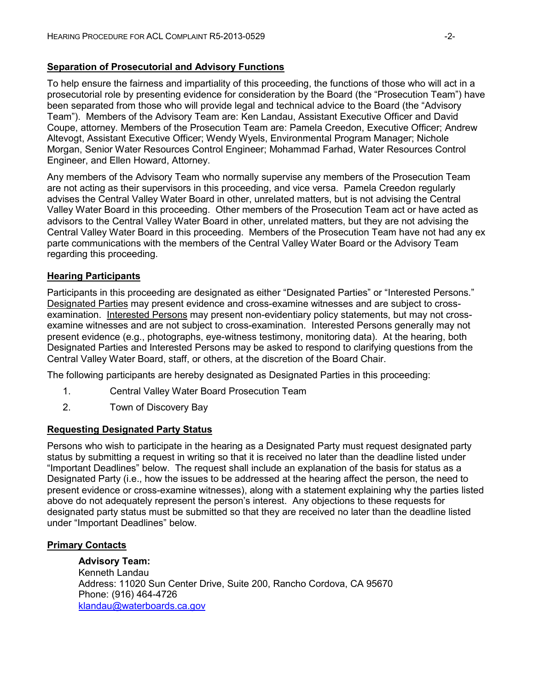### **Separation of Prosecutorial and Advisory Functions**

To help ensure the fairness and impartiality of this proceeding, the functions of those who will act in a prosecutorial role by presenting evidence for consideration by the Board (the "Prosecution Team") have been separated from those who will provide legal and technical advice to the Board (the "Advisory Team"). Members of the Advisory Team are: Ken Landau, Assistant Executive Officer and David Coupe, attorney. Members of the Prosecution Team are: Pamela Creedon, Executive Officer; Andrew Altevogt, Assistant Executive Officer; Wendy Wyels, Environmental Program Manager; Nichole Morgan, Senior Water Resources Control Engineer; Mohammad Farhad, Water Resources Control Engineer, and Ellen Howard, Attorney.

Any members of the Advisory Team who normally supervise any members of the Prosecution Team are not acting as their supervisors in this proceeding, and vice versa. Pamela Creedon regularly advises the Central Valley Water Board in other, unrelated matters, but is not advising the Central Valley Water Board in this proceeding. Other members of the Prosecution Team act or have acted as advisors to the Central Valley Water Board in other, unrelated matters, but they are not advising the Central Valley Water Board in this proceeding. Members of the Prosecution Team have not had any ex parte communications with the members of the Central Valley Water Board or the Advisory Team regarding this proceeding.

### **Hearing Participants**

Participants in this proceeding are designated as either "Designated Parties" or "Interested Persons." Designated Parties may present evidence and cross-examine witnesses and are subject to crossexamination. Interested Persons may present non-evidentiary policy statements, but may not crossexamine witnesses and are not subject to cross-examination. Interested Persons generally may not present evidence (e.g., photographs, eye-witness testimony, monitoring data). At the hearing, both Designated Parties and Interested Persons may be asked to respond to clarifying questions from the Central Valley Water Board, staff, or others, at the discretion of the Board Chair.

The following participants are hereby designated as Designated Parties in this proceeding:

- 1. Central Valley Water Board Prosecution Team
- 2. Town of Discovery Bay

#### **Requesting Designated Party Status**

Persons who wish to participate in the hearing as a Designated Party must request designated party status by submitting a request in writing so that it is received no later than the deadline listed under "Important Deadlines" below. The request shall include an explanation of the basis for status as a Designated Party (i.e., how the issues to be addressed at the hearing affect the person, the need to present evidence or cross-examine witnesses), along with a statement explaining why the parties listed above do not adequately represent the person's interest. Any objections to these requests for designated party status must be submitted so that they are received no later than the deadline listed under "Important Deadlines" below.

### **Primary Contacts**

**Advisory Team:**  Kenneth Landau Address: 11020 Sun Center Drive, Suite 200, Rancho Cordova, CA 95670 Phone: (916) 464-4726 [klandau@waterboards.ca.gov](mailto:klandau@waterboards.ca.gov)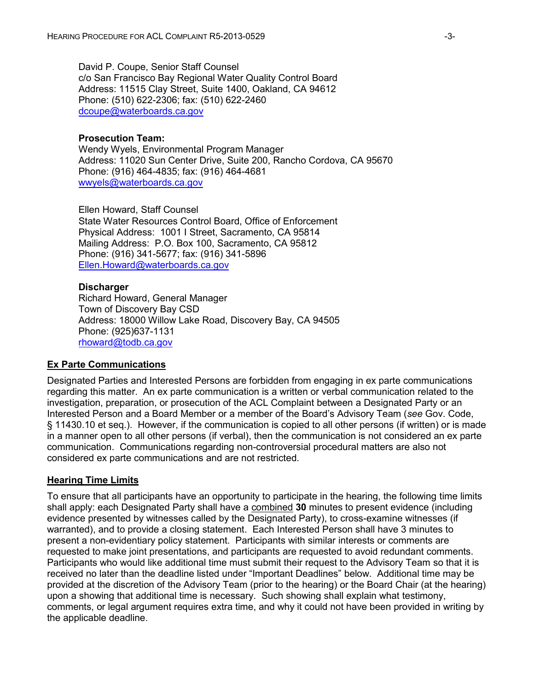David P. Coupe, Senior Staff Counsel c/o San Francisco Bay Regional Water Quality Control Board Address: 11515 Clay Street, Suite 1400, Oakland, CA 94612 Phone: (510) 622-2306; fax: (510) 622-2460 [dcoupe@waterboards.ca.gov](mailto:dcoupe@waterboards.ca.gov)

### **Prosecution Team:**

Wendy Wyels, Environmental Program Manager Address: 11020 Sun Center Drive, Suite 200, Rancho Cordova, CA 95670 Phone: (916) 464-4835; fax: (916) 464-4681 [wwyels@waterboards.ca.gov](mailto:wwyels@waterboards.ca.gov)

Ellen Howard, Staff Counsel State Water Resources Control Board, Office of Enforcement Physical Address: 1001 I Street, Sacramento, CA 95814 Mailing Address: P.O. Box 100, Sacramento, CA 95812 Phone: (916) 341-5677; fax: (916) 341-5896 [Ellen.Howard@waterboards.ca.gov](mailto:Ellen.Howard@waterboards.ca.gov)

### **Discharger**

Richard Howard, General Manager Town of Discovery Bay CSD Address: 18000 Willow Lake Road, Discovery Bay, CA 94505 Phone: (925)637-1131 [rhoward@todb.ca.gov](mailto:rhoward@todb.ca.gov)

### **Ex Parte Communications**

Designated Parties and Interested Persons are forbidden from engaging in ex parte communications regarding this matter. An ex parte communication is a written or verbal communication related to the investigation, preparation, or prosecution of the ACL Complaint between a Designated Party or an Interested Person and a Board Member or a member of the Board's Advisory Team (*see* Gov. Code, § 11430.10 et seq.). However, if the communication is copied to all other persons (if written) or is made in a manner open to all other persons (if verbal), then the communication is not considered an ex parte communication. Communications regarding non-controversial procedural matters are also not considered ex parte communications and are not restricted.

#### **Hearing Time Limits**

To ensure that all participants have an opportunity to participate in the hearing, the following time limits shall apply: each Designated Party shall have a combined **30** minutes to present evidence (including evidence presented by witnesses called by the Designated Party), to cross-examine witnesses (if warranted), and to provide a closing statement. Each Interested Person shall have 3 minutes to present a non-evidentiary policy statement. Participants with similar interests or comments are requested to make joint presentations, and participants are requested to avoid redundant comments. Participants who would like additional time must submit their request to the Advisory Team so that it is received no later than the deadline listed under "Important Deadlines" below. Additional time may be provided at the discretion of the Advisory Team (prior to the hearing) or the Board Chair (at the hearing) upon a showing that additional time is necessary. Such showing shall explain what testimony, comments, or legal argument requires extra time, and why it could not have been provided in writing by the applicable deadline.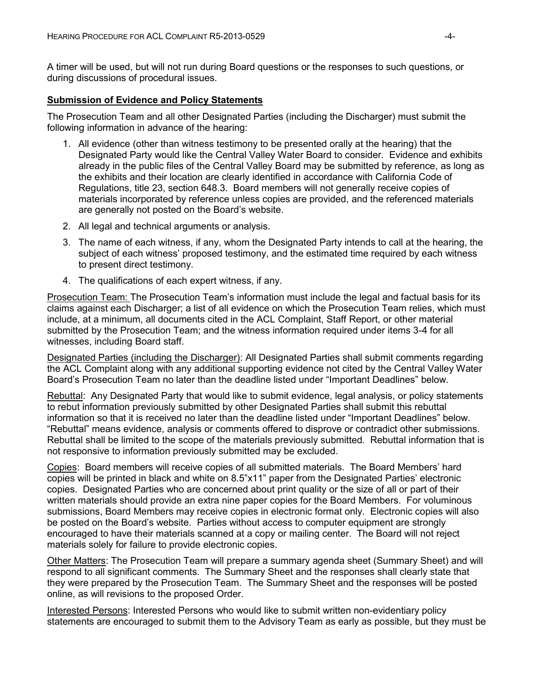A timer will be used, but will not run during Board questions or the responses to such questions, or during discussions of procedural issues.

### **Submission of Evidence and Policy Statements**

The Prosecution Team and all other Designated Parties (including the Discharger) must submit the following information in advance of the hearing:

- 1. All evidence (other than witness testimony to be presented orally at the hearing) that the Designated Party would like the Central Valley Water Board to consider. Evidence and exhibits already in the public files of the Central Valley Board may be submitted by reference, as long as the exhibits and their location are clearly identified in accordance with California Code of Regulations, title 23, section 648.3. Board members will not generally receive copies of materials incorporated by reference unless copies are provided, and the referenced materials are generally not posted on the Board's website.
- 2. All legal and technical arguments or analysis.
- 3. The name of each witness, if any, whom the Designated Party intends to call at the hearing, the subject of each witness' proposed testimony, and the estimated time required by each witness to present direct testimony.
- 4. The qualifications of each expert witness, if any.

Prosecution Team: The Prosecution Team's information must include the legal and factual basis for its claims against each Discharger; a list of all evidence on which the Prosecution Team relies, which must include, at a minimum, all documents cited in the ACL Complaint, Staff Report, or other material submitted by the Prosecution Team; and the witness information required under items 3-4 for all witnesses, including Board staff.

Designated Parties (including the Discharger): All Designated Parties shall submit comments regarding the ACL Complaint along with any additional supporting evidence not cited by the Central Valley Water Board's Prosecution Team no later than the deadline listed under "Important Deadlines" below.

Rebuttal: Any Designated Party that would like to submit evidence, legal analysis, or policy statements to rebut information previously submitted by other Designated Parties shall submit this rebuttal information so that it is received no later than the deadline listed under "Important Deadlines" below. "Rebuttal" means evidence, analysis or comments offered to disprove or contradict other submissions. Rebuttal shall be limited to the scope of the materials previously submitted. Rebuttal information that is not responsive to information previously submitted may be excluded.

Copies: Board members will receive copies of all submitted materials. The Board Members' hard copies will be printed in black and white on 8.5"x11" paper from the Designated Parties' electronic copies. Designated Parties who are concerned about print quality or the size of all or part of their written materials should provide an extra nine paper copies for the Board Members. For voluminous submissions, Board Members may receive copies in electronic format only. Electronic copies will also be posted on the Board's website. Parties without access to computer equipment are strongly encouraged to have their materials scanned at a copy or mailing center. The Board will not reject materials solely for failure to provide electronic copies.

Other Matters: The Prosecution Team will prepare a summary agenda sheet (Summary Sheet) and will respond to all significant comments. The Summary Sheet and the responses shall clearly state that they were prepared by the Prosecution Team. The Summary Sheet and the responses will be posted online, as will revisions to the proposed Order.

Interested Persons: Interested Persons who would like to submit written non-evidentiary policy statements are encouraged to submit them to the Advisory Team as early as possible, but they must be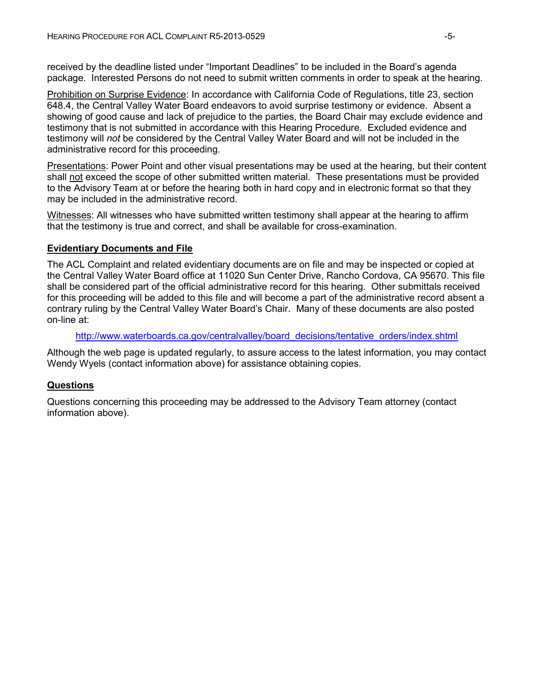received by the deadline listed under "Important Deadlines" to be included in the Board's agenda package. Interested Persons do not need to submit written comments in order to speak at the hearing.

Prohibition on Surprise Evidence: In accordance with California Code of Regulations, title 23, section 648.4, the Central Valley Water Board endeavors to avoid surprise testimony or evidence. Absent a showing of good cause and lack of prejudice to the parties, the Board Chair may exclude evidence and testimony that is not submitted in accordance with this Hearing Procedure. Excluded evidence and testimony will *not* be considered by the Central Valley Water Board and will not be included in the administrative record for this proceeding.

Presentations: Power Point and other visual presentations may be used at the hearing, but their content shall not exceed the scope of other submitted written material. These presentations must be provided to the Advisory Team at or before the hearing both in hard copy and in electronic format so that they may be included in the administrative record.

Witnesses: All witnesses who have submitted written testimony shall appear at the hearing to affirm that the testimony is true and correct, and shall be available for cross-examination.

### **Evidentiary Documents and File**

The ACL Complaint and related evidentiary documents are on file and may be inspected or copied at the Central Valley Water Board office at 11020 Sun Center Drive, Rancho Cordova, CA 95670. This file shall be considered part of the official administrative record for this hearing. Other submittals received for this proceeding will be added to this file and will become a part of the administrative record absent a contrary ruling by the Central Valley Water Board's Chair. Many of these documents are also posted on-line at:

[http://www.waterboards.ca.gov/centralvalley/board\\_decisions/tentative\\_orders/index.shtml](http://www.waterboards.ca.gov/centralvalley/board_decisions/tentative_orders/index.shtml)

Although the web page is updated regularly, to assure access to the latest information, you may contact Wendy Wyels (contact information above) for assistance obtaining copies.

### **Questions**

Questions concerning this proceeding may be addressed to the Advisory Team attorney (contact information above).